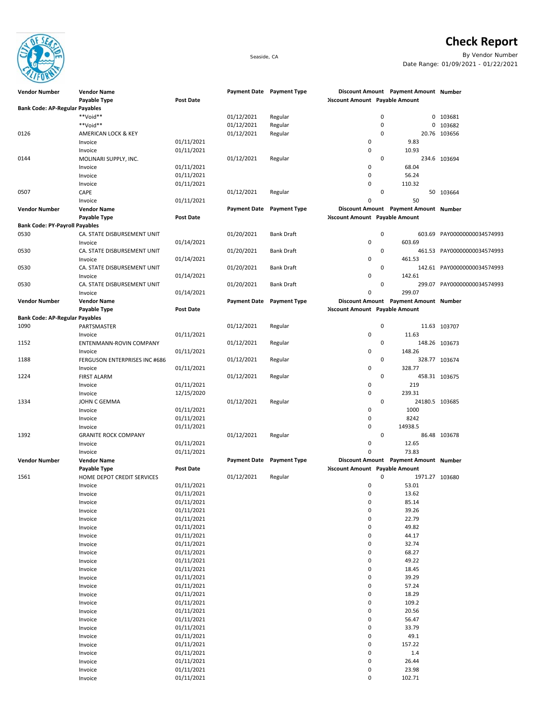

## **Check Report**

Seaside, CA By Vendor Number Date Range: 01/09/2021 - 01/22/2021

| <b>Vendor Number</b>                  | <b>Vendor Name</b>            |                  | Payment Date Payment Type |                     |                                       | Discount Amount Payment Amount Number |                             |
|---------------------------------------|-------------------------------|------------------|---------------------------|---------------------|---------------------------------------|---------------------------------------|-----------------------------|
|                                       | Payable Type                  | <b>Post Date</b> |                           |                     | <b>Discount Amount Payable Amount</b> |                                       |                             |
| <b>Bank Code: AP-Regular Payables</b> |                               |                  |                           |                     |                                       |                                       |                             |
|                                       | $**$ bioV**                   |                  | 01/12/2021                | Regular             | 0                                     |                                       | 0 103681                    |
|                                       | **Void**                      |                  | 01/12/2021                | Regular             | 0                                     | 0                                     | 103682                      |
| 0126                                  | AMERICAN LOCK & KEY           |                  | 01/12/2021                | Regular             | $\Omega$                              |                                       | 20.76 103656                |
|                                       | Invoice                       | 01/11/2021       |                           |                     | 0                                     | 9.83                                  |                             |
|                                       | Invoice                       | 01/11/2021       |                           |                     | 0                                     | 10.93                                 |                             |
| 0144                                  | MOLINARI SUPPLY, INC.         |                  | 01/12/2021                | Regular             | 0                                     |                                       | 234.6 103694                |
|                                       | Invoice                       | 01/11/2021       |                           |                     | 0                                     | 68.04                                 |                             |
|                                       | Invoice                       | 01/11/2021       |                           |                     | 0                                     | 56.24                                 |                             |
|                                       | Invoice                       | 01/11/2021       |                           |                     | 0                                     | 110.32                                |                             |
| 0507                                  | CAPE                          |                  | 01/12/2021                | Regular             | 0                                     |                                       | 50 103664                   |
|                                       |                               |                  |                           |                     | 0                                     | 50                                    |                             |
|                                       | Invoice                       | 01/11/2021       |                           |                     |                                       |                                       |                             |
| <b>Vendor Number</b>                  | <b>Vendor Name</b>            |                  | <b>Payment Date</b>       | <b>Payment Type</b> |                                       | Discount Amount Payment Amount Number |                             |
|                                       | Payable Type                  | <b>Post Date</b> |                           |                     | <b>Discount Amount Payable Amount</b> |                                       |                             |
| <b>Bank Code: PY-Payroll Payables</b> |                               |                  |                           |                     |                                       |                                       |                             |
| 0530                                  | CA. STATE DISBURSEMENT UNIT   |                  | 01/20/2021                | <b>Bank Draft</b>   | $\mathbf 0$                           | 603.69                                | PAY00000000034574993        |
|                                       | Invoice                       | 01/14/2021       |                           |                     | 0                                     | 603.69                                |                             |
| 0530                                  | CA. STATE DISBURSEMENT UNIT   |                  | 01/20/2021                | <b>Bank Draft</b>   | 0                                     |                                       | 461.53 PAY00000000034574993 |
|                                       | Invoice                       | 01/14/2021       |                           |                     | 0                                     | 461.53                                |                             |
| 0530                                  | CA. STATE DISBURSEMENT UNIT   |                  | 01/20/2021                | <b>Bank Draft</b>   | $\pmb{0}$                             |                                       | 142.61 PAY00000000034574993 |
|                                       | Invoice                       | 01/14/2021       |                           |                     | 0                                     | 142.61                                |                             |
| 0530                                  | CA. STATE DISBURSEMENT UNIT   |                  | 01/20/2021                | <b>Bank Draft</b>   | 0                                     |                                       | 299.07 PAY00000000034574993 |
|                                       | Invoice                       | 01/14/2021       |                           |                     | 0                                     | 299.07                                |                             |
| <b>Vendor Number</b>                  | <b>Vendor Name</b>            |                  | <b>Payment Date</b>       | <b>Payment Type</b> |                                       | Discount Amount Payment Amount Number |                             |
|                                       | Payable Type                  | <b>Post Date</b> |                           |                     | <b>Discount Amount Payable Amount</b> |                                       |                             |
| <b>Bank Code: AP-Regular Payables</b> |                               |                  |                           |                     |                                       |                                       |                             |
| 1090                                  | PARTSMASTER                   |                  | 01/12/2021                | Regular             | 0                                     |                                       | 11.63 103707                |
|                                       | Invoice                       | 01/11/2021       |                           |                     | 0                                     | 11.63                                 |                             |
| 1152                                  | ENTENMANN-ROVIN COMPANY       |                  | 01/12/2021                | Regular             | 0                                     |                                       | 148.26 103673               |
|                                       |                               |                  |                           |                     | 0                                     | 148.26                                |                             |
|                                       | Invoice                       | 01/11/2021       |                           |                     |                                       |                                       |                             |
| 1188                                  | FERGUSON ENTERPRISES INC #686 |                  | 01/12/2021                | Regular             | 0                                     |                                       | 328.77 103674               |
|                                       | Invoice                       | 01/11/2021       |                           |                     | 0                                     | 328.77                                |                             |
| 1224                                  | <b>FIRST ALARM</b>            |                  | 01/12/2021                | Regular             | $\pmb{0}$                             |                                       | 458.31 103675               |
|                                       | Invoice                       | 01/11/2021       |                           |                     | 0                                     | 219                                   |                             |
|                                       | Invoice                       | 12/15/2020       |                           |                     | 0                                     | 239.31                                |                             |
| 1334                                  | JOHN C GEMMA                  |                  | 01/12/2021                | Regular             | 0                                     | 24180.5 103685                        |                             |
|                                       | Invoice                       | 01/11/2021       |                           |                     | 0                                     | 1000                                  |                             |
|                                       | Invoice                       | 01/11/2021       |                           |                     | 0                                     | 8242                                  |                             |
|                                       | Invoice                       | 01/11/2021       |                           |                     | 0                                     | 14938.5                               |                             |
| 1392                                  | <b>GRANITE ROCK COMPANY</b>   |                  | 01/12/2021                | Regular             | 0                                     |                                       | 86.48 103678                |
|                                       | Invoice                       | 01/11/2021       |                           |                     | 0                                     | 12.65                                 |                             |
|                                       | Invoice                       | 01/11/2021       |                           |                     | $\Omega$                              | 73.83                                 |                             |
| <b>Vendor Number</b>                  | <b>Vendor Name</b>            |                  | <b>Payment Date</b>       | <b>Payment Type</b> |                                       | Discount Amount Payment Amount Number |                             |
|                                       | Payable Type                  | <b>Post Date</b> |                           |                     | <b>Discount Amount Payable Amount</b> |                                       |                             |
| 1561                                  | HOME DEPOT CREDIT SERVICES    |                  | 01/12/2021                | Regular             | 0                                     | 1971.27 103680                        |                             |
|                                       |                               |                  |                           |                     | 0                                     | 53.01                                 |                             |
|                                       | Invoice                       | 01/11/2021       |                           |                     | $\Omega$                              |                                       |                             |
|                                       | Invoice                       | 01/11/2021       |                           |                     |                                       | 13.62                                 |                             |
|                                       | Invoice                       | 01/11/2021       |                           |                     | $\pmb{0}$                             | 85.14                                 |                             |
|                                       | Invoice                       | 01/11/2021       |                           |                     | 0                                     | 39.26                                 |                             |
|                                       | Invoice                       | 01/11/2021       |                           |                     | 0                                     | 22.79                                 |                             |
|                                       | Invoice                       | 01/11/2021       |                           |                     | 0                                     | 49.82                                 |                             |
|                                       | Invoice                       | 01/11/2021       |                           |                     | 0                                     | 44.17                                 |                             |
|                                       | Invoice                       | 01/11/2021       |                           |                     | 0                                     | 32.74                                 |                             |
|                                       | Invoice                       | 01/11/2021       |                           |                     | 0                                     | 68.27                                 |                             |
|                                       | Invoice                       | 01/11/2021       |                           |                     | 0                                     | 49.22                                 |                             |
|                                       | Invoice                       | 01/11/2021       |                           |                     | 0                                     | 18.45                                 |                             |
|                                       | Invoice                       | 01/11/2021       |                           |                     | 0                                     | 39.29                                 |                             |
|                                       | Invoice                       | 01/11/2021       |                           |                     | 0                                     | 57.24                                 |                             |
|                                       | Invoice                       | 01/11/2021       |                           |                     | 0                                     | 18.29                                 |                             |
|                                       | Invoice                       | 01/11/2021       |                           |                     | 0                                     | 109.2                                 |                             |
|                                       | Invoice                       | 01/11/2021       |                           |                     | 0                                     | 20.56                                 |                             |
|                                       | Invoice                       | 01/11/2021       |                           |                     | 0                                     | 56.47                                 |                             |
|                                       | Invoice                       | 01/11/2021       |                           |                     | 0                                     | 33.79                                 |                             |
|                                       |                               | 01/11/2021       |                           |                     | 0                                     | 49.1                                  |                             |
|                                       | Invoice                       |                  |                           |                     |                                       |                                       |                             |
|                                       | Invoice                       | 01/11/2021       |                           |                     | 0                                     | 157.22                                |                             |
|                                       | Invoice                       | 01/11/2021       |                           |                     | 0                                     | 1.4                                   |                             |
|                                       | Invoice                       | 01/11/2021       |                           |                     | 0                                     | 26.44                                 |                             |
|                                       | Invoice                       | 01/11/2021       |                           |                     | 0                                     | 23.98                                 |                             |
|                                       | Invoice                       | 01/11/2021       |                           |                     | 0                                     | 102.71                                |                             |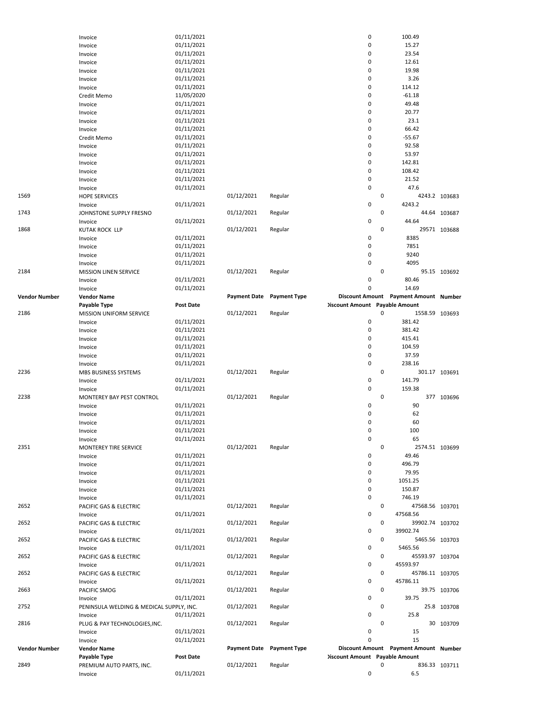|                      | Invoice                                  | 01/11/2021       |                     |                           | 0                                     |   | 100.49                                |               |
|----------------------|------------------------------------------|------------------|---------------------|---------------------------|---------------------------------------|---|---------------------------------------|---------------|
|                      | Invoice                                  | 01/11/2021       |                     |                           | 0                                     |   | 15.27                                 |               |
|                      | Invoice                                  | 01/11/2021       |                     |                           | $\mathbf 0$                           |   | 23.54                                 |               |
|                      | Invoice                                  | 01/11/2021       |                     |                           | $\mathbf 0$                           |   | 12.61                                 |               |
|                      | Invoice                                  | 01/11/2021       |                     |                           | 0                                     |   | 19.98                                 |               |
|                      | Invoice                                  | 01/11/2021       |                     |                           | 0                                     |   | 3.26                                  |               |
|                      | Invoice                                  | 01/11/2021       |                     |                           | 0                                     |   | 114.12                                |               |
|                      | Credit Memo                              | 11/05/2020       |                     |                           | 0                                     |   | $-61.18$                              |               |
|                      | Invoice                                  | 01/11/2021       |                     |                           | 0                                     |   | 49.48                                 |               |
|                      | Invoice                                  | 01/11/2021       |                     |                           | 0                                     |   | 20.77                                 |               |
|                      |                                          |                  |                     |                           | 0                                     |   |                                       |               |
|                      | Invoice                                  | 01/11/2021       |                     |                           |                                       |   | 23.1                                  |               |
|                      | Invoice                                  | 01/11/2021       |                     |                           | 0                                     |   | 66.42                                 |               |
|                      | Credit Memo                              | 01/11/2021       |                     |                           | 0                                     |   | $-55.67$                              |               |
|                      | Invoice                                  | 01/11/2021       |                     |                           | 0                                     |   | 92.58                                 |               |
|                      | Invoice                                  | 01/11/2021       |                     |                           | $\mathbf 0$                           |   | 53.97                                 |               |
|                      | Invoice                                  | 01/11/2021       |                     |                           | 0                                     |   | 142.81                                |               |
|                      | Invoice                                  | 01/11/2021       |                     |                           | 0                                     |   | 108.42                                |               |
|                      | Invoice                                  | 01/11/2021       |                     |                           | 0                                     |   | 21.52                                 |               |
|                      | Invoice                                  | 01/11/2021       |                     |                           | 0                                     |   | 47.6                                  |               |
| 1569                 | <b>HOPE SERVICES</b>                     |                  | 01/12/2021          | Regular                   |                                       | 0 |                                       | 4243.2 103683 |
|                      | Invoice                                  | 01/11/2021       |                     |                           | 0                                     |   | 4243.2                                |               |
| 1743                 | JOHNSTONE SUPPLY FRESNO                  |                  | 01/12/2021          | Regular                   |                                       | 0 |                                       | 44.64 103687  |
|                      | Invoice                                  | 01/11/2021       |                     |                           | 0                                     |   | 44.64                                 |               |
| 1868                 | KUTAK ROCK LLP                           |                  | 01/12/2021          | Regular                   |                                       | 0 |                                       | 29571 103688  |
|                      | Invoice                                  | 01/11/2021       |                     |                           | 0                                     |   | 8385                                  |               |
|                      | Invoice                                  | 01/11/2021       |                     |                           | 0                                     |   | 7851                                  |               |
|                      | Invoice                                  | 01/11/2021       |                     |                           | 0                                     |   | 9240                                  |               |
|                      |                                          |                  |                     |                           | $\mathbf 0$                           |   |                                       |               |
|                      | Invoice                                  | 01/11/2021       |                     |                           |                                       |   | 4095                                  |               |
| 2184                 | MISSION LINEN SERVICE                    |                  | 01/12/2021          | Regular                   |                                       | 0 |                                       | 95.15 103692  |
|                      | Invoice                                  | 01/11/2021       |                     |                           | 0                                     |   | 80.46                                 |               |
|                      | Invoice                                  | 01/11/2021       |                     |                           | $\mathbf 0$                           |   | 14.69                                 |               |
| Vendor Number        | <b>Vendor Name</b>                       |                  | <b>Payment Date</b> | <b>Payment Type</b>       |                                       |   | Discount Amount Payment Amount Number |               |
|                      | Payable Type                             | <b>Post Date</b> |                     |                           | <b>Discount Amount Payable Amount</b> |   |                                       |               |
| 2186                 | MISSION UNIFORM SERVICE                  |                  | 01/12/2021          | Regular                   |                                       | 0 | 1558.59 103693                        |               |
|                      | Invoice                                  | 01/11/2021       |                     |                           | 0                                     |   | 381.42                                |               |
|                      | Invoice                                  | 01/11/2021       |                     |                           | 0                                     |   | 381.42                                |               |
|                      | Invoice                                  | 01/11/2021       |                     |                           | 0                                     |   | 415.41                                |               |
|                      | Invoice                                  | 01/11/2021       |                     |                           | 0                                     |   | 104.59                                |               |
|                      | Invoice                                  | 01/11/2021       |                     |                           | 0                                     |   | 37.59                                 |               |
|                      | Invoice                                  | 01/11/2021       |                     |                           | 0                                     |   | 238.16                                |               |
| 2236                 | MBS BUSINESS SYSTEMS                     |                  | 01/12/2021          | Regular                   |                                       | 0 |                                       | 301.17 103691 |
|                      | Invoice                                  | 01/11/2021       |                     |                           | 0                                     |   | 141.79                                |               |
|                      |                                          | 01/11/2021       |                     |                           | 0                                     |   | 159.38                                |               |
|                      | Invoice                                  |                  |                     |                           |                                       |   |                                       |               |
| 2238                 | MONTEREY BAY PEST CONTROL                |                  | 01/12/2021          | Regular                   |                                       | 0 |                                       | 377 103696    |
|                      | Invoice                                  | 01/11/2021       |                     |                           | 0                                     |   | 90                                    |               |
|                      | Invoice                                  | 01/11/2021       |                     |                           | 0                                     |   | 62                                    |               |
|                      | Invoice                                  | 01/11/2021       |                     |                           | 0                                     |   | 60                                    |               |
|                      | Invoice                                  | 01/11/2021       |                     |                           | $\mathbf 0$                           |   | 100                                   |               |
|                      | Invoice                                  | 01/11/2021       |                     |                           | 0                                     |   | 65                                    |               |
| 2351                 | MONTEREY TIRE SERVICE                    |                  | 01/12/2021          | Regular                   |                                       | 0 | 2574.51 103699                        |               |
|                      | Invoice                                  | 01/11/2021       |                     |                           | 0                                     |   | 49.46                                 |               |
|                      | Invoice                                  | 01/11/2021       |                     |                           | 0                                     |   | 496.79                                |               |
|                      | Invoice                                  | 01/11/2021       |                     |                           | 0                                     |   | 79.95                                 |               |
|                      | Invoice                                  | 01/11/2021       |                     |                           | 0                                     |   | 1051.25                               |               |
|                      | Invoice                                  | 01/11/2021       |                     |                           | 0                                     |   | 150.87                                |               |
|                      | Invoice                                  | 01/11/2021       |                     |                           | 0                                     |   | 746.19                                |               |
| 2652                 | PACIFIC GAS & ELECTRIC                   |                  | 01/12/2021          | Regular                   |                                       | 0 | 47568.56 103701                       |               |
|                      | Invoice                                  | 01/11/2021       |                     |                           | 0                                     |   | 47568.56                              |               |
| 2652                 | PACIFIC GAS & ELECTRIC                   |                  | 01/12/2021          | Regular                   |                                       | 0 | 39902.74 103702                       |               |
|                      | Invoice                                  | 01/11/2021       |                     |                           | 0                                     |   | 39902.74                              |               |
| 2652                 |                                          |                  | 01/12/2021          |                           |                                       | 0 |                                       |               |
|                      | PACIFIC GAS & ELECTRIC                   |                  |                     | Regular                   |                                       |   | 5465.56 103703                        |               |
|                      | Invoice                                  | 01/11/2021       |                     |                           | 0                                     |   | 5465.56                               |               |
| 2652                 | PACIFIC GAS & ELECTRIC                   |                  | 01/12/2021          | Regular                   |                                       | 0 | 45593.97 103704                       |               |
|                      | Invoice                                  | 01/11/2021       |                     |                           | 0                                     |   | 45593.97                              |               |
| 2652                 | PACIFIC GAS & ELECTRIC                   |                  | 01/12/2021          | Regular                   |                                       | 0 | 45786.11 103705                       |               |
|                      | Invoice                                  | 01/11/2021       |                     |                           | 0                                     |   | 45786.11                              |               |
| 2663                 | PACIFIC SMOG                             |                  | 01/12/2021          | Regular                   |                                       | 0 |                                       | 39.75 103706  |
|                      | Invoice                                  | 01/11/2021       |                     |                           | 0                                     |   | 39.75                                 |               |
| 2752                 | PENINSULA WELDING & MEDICAL SUPPLY, INC. |                  | 01/12/2021          | Regular                   |                                       | 0 |                                       | 25.8 103708   |
|                      | Invoice                                  | 01/11/2021       |                     |                           | 0                                     |   | 25.8                                  |               |
| 2816                 | PLUG & PAY TECHNOLOGIES, INC.            |                  | 01/12/2021          | Regular                   |                                       | 0 |                                       | 30 103709     |
|                      | Invoice                                  | 01/11/2021       |                     |                           | 0                                     |   | 15                                    |               |
|                      | Invoice                                  | 01/11/2021       |                     |                           | 0                                     |   | 15                                    |               |
| <b>Vendor Number</b> | <b>Vendor Name</b>                       |                  |                     | Payment Date Payment Type |                                       |   | Discount Amount Payment Amount Number |               |
|                      | Payable Type                             | <b>Post Date</b> |                     |                           | <b>Discount Amount</b> Payable Amount |   |                                       |               |
| 2849                 | PREMIUM AUTO PARTS, INC.                 |                  | 01/12/2021          | Regular                   |                                       | 0 |                                       | 836.33 103711 |
|                      | Invoice                                  | 01/11/2021       |                     |                           | 0                                     |   | 6.5                                   |               |
|                      |                                          |                  |                     |                           |                                       |   |                                       |               |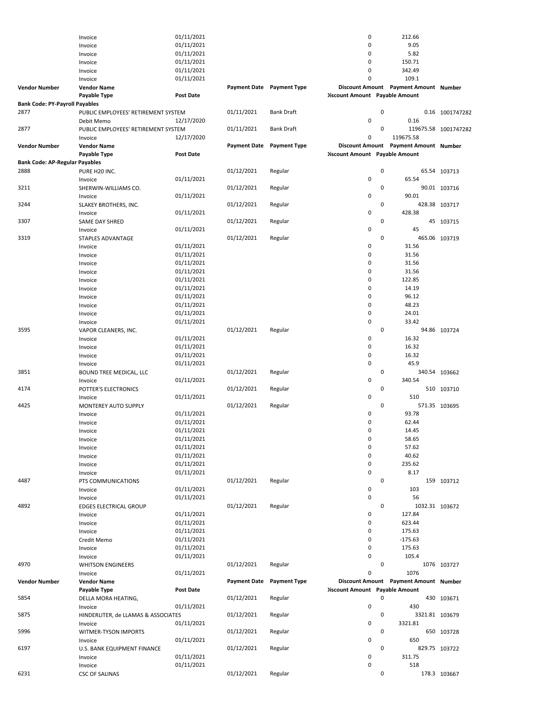|                                       | Invoice                             | 01/11/2021       |                           |                     | 0                                     |   | 212.66                                |                      |
|---------------------------------------|-------------------------------------|------------------|---------------------------|---------------------|---------------------------------------|---|---------------------------------------|----------------------|
|                                       | Invoice                             | 01/11/2021       |                           |                     | 0                                     |   | 9.05                                  |                      |
|                                       | Invoice                             | 01/11/2021       |                           |                     | 0                                     |   | 5.82                                  |                      |
|                                       | Invoice                             | 01/11/2021       |                           |                     | 0                                     |   | 150.71                                |                      |
|                                       | Invoice                             | 01/11/2021       |                           |                     | 0                                     |   | 342.49                                |                      |
|                                       | Invoice                             | 01/11/2021       |                           |                     | 0                                     |   | 109.1                                 |                      |
|                                       |                                     |                  |                           |                     |                                       |   |                                       |                      |
| <b>Vendor Number</b>                  | <b>Vendor Name</b>                  |                  | Payment Date Payment Type |                     |                                       |   | Discount Amount Payment Amount Number |                      |
|                                       | Payable Type                        | <b>Post Date</b> |                           |                     | <b>Discount Amount</b> Payable Amount |   |                                       |                      |
| <b>Bank Code: PY-Payroll Payables</b> |                                     |                  |                           |                     |                                       |   |                                       |                      |
| 2877                                  | PUBLIC EMPLOYEES' RETIREMENT SYSTEM |                  | 01/11/2021                | <b>Bank Draft</b>   |                                       | 0 |                                       | 0.16 1001747282      |
|                                       | Debit Memo                          | 12/17/2020       |                           |                     | 0                                     |   | 0.16                                  |                      |
| 2877                                  |                                     |                  | 01/11/2021                | <b>Bank Draft</b>   |                                       | 0 |                                       | 119675.58 1001747282 |
|                                       | PUBLIC EMPLOYEES' RETIREMENT SYSTEM |                  |                           |                     |                                       |   |                                       |                      |
|                                       | Invoice                             | 12/17/2020       |                           |                     | 0                                     |   | 119675.58                             |                      |
| <b>Vendor Number</b>                  | <b>Vendor Name</b>                  |                  | <b>Payment Date</b>       | <b>Payment Type</b> |                                       |   | Discount Amount Payment Amount Number |                      |
|                                       | Payable Type                        | <b>Post Date</b> |                           |                     | <b>Discount Amount Payable Amount</b> |   |                                       |                      |
| <b>Bank Code: AP-Regular Payables</b> |                                     |                  |                           |                     |                                       |   |                                       |                      |
| 2888                                  | PURE H20 INC.                       |                  | 01/12/2021                | Regular             |                                       | 0 |                                       | 65.54 103713         |
|                                       | Invoice                             | 01/11/2021       |                           |                     | 0                                     |   | 65.54                                 |                      |
|                                       |                                     |                  |                           |                     |                                       |   |                                       |                      |
| 3211                                  | SHERWIN-WILLIAMS CO.                |                  | 01/12/2021                | Regular             |                                       | 0 |                                       | 90.01 103716         |
|                                       | Invoice                             | 01/11/2021       |                           |                     | 0                                     |   | 90.01                                 |                      |
| 3244                                  | SLAKEY BROTHERS, INC.               |                  | 01/12/2021                | Regular             |                                       | 0 |                                       | 428.38 103717        |
|                                       | Invoice                             | 01/11/2021       |                           |                     | 0                                     |   | 428.38                                |                      |
| 3307                                  | <b>SAME DAY SHRED</b>               |                  | 01/12/2021                | Regular             |                                       | 0 |                                       | 45 103715            |
|                                       |                                     |                  |                           |                     | 0                                     |   | 45                                    |                      |
|                                       | Invoice                             | 01/11/2021       |                           |                     |                                       |   |                                       |                      |
| 3319                                  | STAPLES ADVANTAGE                   |                  | 01/12/2021                | Regular             |                                       | 0 |                                       | 465.06 103719        |
|                                       | Invoice                             | 01/11/2021       |                           |                     | 0                                     |   | 31.56                                 |                      |
|                                       | Invoice                             | 01/11/2021       |                           |                     | 0                                     |   | 31.56                                 |                      |
|                                       | Invoice                             | 01/11/2021       |                           |                     | 0                                     |   | 31.56                                 |                      |
|                                       |                                     |                  |                           |                     | 0                                     |   | 31.56                                 |                      |
|                                       | Invoice                             | 01/11/2021       |                           |                     |                                       |   |                                       |                      |
|                                       | Invoice                             | 01/11/2021       |                           |                     | 0                                     |   | 122.85                                |                      |
|                                       | Invoice                             | 01/11/2021       |                           |                     | 0                                     |   | 14.19                                 |                      |
|                                       | Invoice                             | 01/11/2021       |                           |                     | 0                                     |   | 96.12                                 |                      |
|                                       | Invoice                             | 01/11/2021       |                           |                     | 0                                     |   | 48.23                                 |                      |
|                                       |                                     |                  |                           |                     | 0                                     |   | 24.01                                 |                      |
|                                       | Invoice                             | 01/11/2021       |                           |                     |                                       |   |                                       |                      |
|                                       | Invoice                             | 01/11/2021       |                           |                     | 0                                     |   | 33.42                                 |                      |
| 3595                                  | VAPOR CLEANERS, INC.                |                  | 01/12/2021                | Regular             |                                       | 0 |                                       | 94.86 103724         |
|                                       | Invoice                             | 01/11/2021       |                           |                     | 0                                     |   | 16.32                                 |                      |
|                                       | Invoice                             | 01/11/2021       |                           |                     | 0                                     |   | 16.32                                 |                      |
|                                       | Invoice                             |                  |                           |                     | 0                                     |   | 16.32                                 |                      |
|                                       |                                     | 01/11/2021       |                           |                     |                                       |   |                                       |                      |
|                                       | Invoice                             | 01/11/2021       |                           |                     | 0                                     |   | 45.9                                  |                      |
| 3851                                  | BOUND TREE MEDICAL, LLC             |                  | 01/12/2021                | Regular             |                                       | 0 |                                       | 340.54 103662        |
|                                       | Invoice                             | 01/11/2021       |                           |                     | 0                                     |   | 340.54                                |                      |
| 4174                                  | POTTER'S ELECTRONICS                |                  | 01/12/2021                | Regular             |                                       | 0 |                                       | 510 103710           |
|                                       |                                     | 01/11/2021       |                           |                     | 0                                     |   | 510                                   |                      |
|                                       | Invoice                             |                  |                           |                     |                                       |   |                                       |                      |
| 4425                                  | MONTEREY AUTO SUPPLY                |                  | 01/12/2021                | Regular             |                                       | 0 |                                       | 571.35 103695        |
|                                       | Invoice                             | 01/11/2021       |                           |                     | 0                                     |   | 93.78                                 |                      |
|                                       | Invoice                             | 01/11/2021       |                           |                     | 0                                     |   | 62.44                                 |                      |
|                                       | Invoice                             | 01/11/2021       |                           |                     | 0                                     |   | 14.45                                 |                      |
|                                       | Invoice                             | 01/11/2021       |                           |                     | 0                                     |   | 58.65                                 |                      |
|                                       | Invoice                             | 01/11/2021       |                           |                     | 0                                     |   | 57.62                                 |                      |
|                                       |                                     |                  |                           |                     |                                       |   |                                       |                      |
|                                       | Invoice                             | 01/11/2021       |                           |                     | 0                                     |   | 40.62                                 |                      |
|                                       | Invoice                             | 01/11/2021       |                           |                     | 0                                     |   | 235.62                                |                      |
|                                       | Invoice                             | 01/11/2021       |                           |                     | 0                                     |   | 8.17                                  |                      |
| 4487                                  | PTS COMMUNICATIONS                  |                  | 01/12/2021                | Regular             |                                       | 0 |                                       | 159 103712           |
|                                       | Invoice                             | 01/11/2021       |                           |                     | 0                                     |   | 103                                   |                      |
|                                       |                                     |                  |                           |                     | 0                                     |   |                                       |                      |
|                                       | Invoice                             | 01/11/2021       |                           |                     |                                       |   | 56                                    |                      |
| 4892                                  | EDGES ELECTRICAL GROUP              |                  | 01/12/2021                | Regular             |                                       | 0 | 1032.31 103672                        |                      |
|                                       | Invoice                             | 01/11/2021       |                           |                     | 0                                     |   | 127.84                                |                      |
|                                       | Invoice                             | 01/11/2021       |                           |                     | 0                                     |   | 623.44                                |                      |
|                                       | Invoice                             | 01/11/2021       |                           |                     | 0                                     |   | 175.63                                |                      |
|                                       | Credit Memo                         | 01/11/2021       |                           |                     | 0                                     |   | $-175.63$                             |                      |
|                                       |                                     |                  |                           |                     |                                       |   |                                       |                      |
|                                       | Invoice                             | 01/11/2021       |                           |                     | 0                                     |   | 175.63                                |                      |
|                                       | Invoice                             | 01/11/2021       |                           |                     | 0                                     |   | 105.4                                 |                      |
| 4970                                  | <b>WHITSON ENGINEERS</b>            |                  | 01/12/2021                | Regular             |                                       | 0 |                                       | 1076 103727          |
|                                       | Invoice                             | 01/11/2021       |                           |                     | 0                                     |   | 1076                                  |                      |
| <b>Vendor Number</b>                  | <b>Vendor Name</b>                  |                  | <b>Payment Date</b>       | <b>Payment Type</b> |                                       |   | Discount Amount Payment Amount Number |                      |
|                                       | Payable Type                        | <b>Post Date</b> |                           |                     | <b>Discount Amount</b> Payable Amount |   |                                       |                      |
|                                       |                                     |                  |                           |                     |                                       |   |                                       |                      |
| 5854                                  | DELLA MORA HEATING,                 |                  | 01/12/2021                | Regular             |                                       | 0 |                                       | 430 103671           |
|                                       | Invoice                             | 01/11/2021       |                           |                     | 0                                     |   | 430                                   |                      |
| 5875                                  | HINDERLITER, de LLAMAS & ASSOCIATES |                  | 01/12/2021                | Regular             |                                       | 0 | 3321.81 103679                        |                      |
|                                       | Invoice                             | 01/11/2021       |                           |                     | 0                                     |   | 3321.81                               |                      |
| 5996                                  | WITMER-TYSON IMPORTS                |                  | 01/12/2021                | Regular             |                                       | 0 |                                       | 650 103728           |
|                                       |                                     |                  |                           |                     |                                       |   |                                       |                      |
|                                       | Invoice                             | 01/11/2021       |                           |                     | 0                                     |   | 650                                   |                      |
| 6197                                  | U.S. BANK EQUIPMENT FINANCE         |                  | 01/12/2021                | Regular             |                                       | 0 |                                       | 829.75 103722        |
|                                       | Invoice                             | 01/11/2021       |                           |                     | 0                                     |   | 311.75                                |                      |
|                                       | Invoice                             | 01/11/2021       |                           |                     | 0                                     |   | 518                                   |                      |
| 6231                                  | <b>CSC OF SALINAS</b>               |                  | 01/12/2021                | Regular             |                                       | 0 |                                       | 178.3 103667         |
|                                       |                                     |                  |                           |                     |                                       |   |                                       |                      |